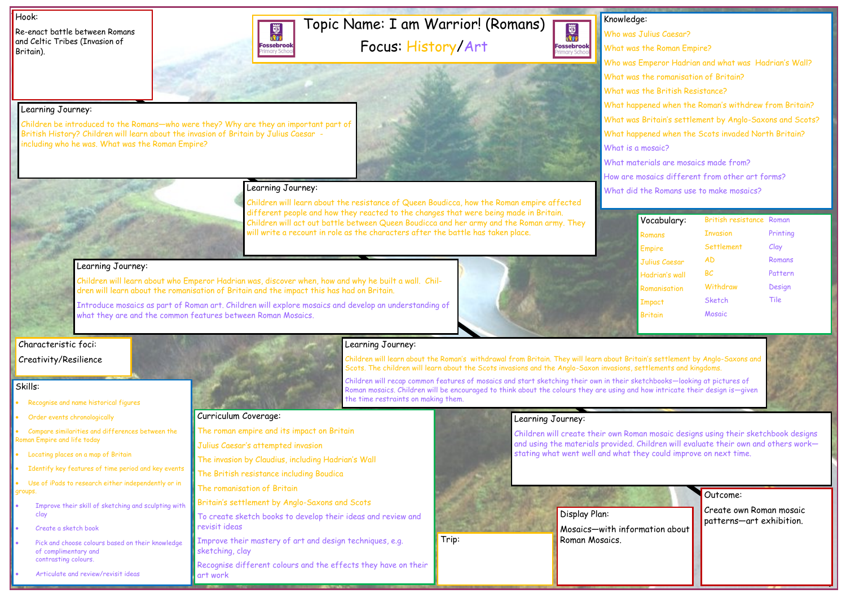# Topic Name: I am Warrior! (Romans)

Focus: History/Art

題次 **Fossebrook** nary Sch



#### Hook:

Re-enact battle between Romans and Celtic Tribes (Invasion of Britain).

Outcome:

Create own Roman mosaic patterns—art exhibition.

- Recognise and name historical figures
- Order events chronologically
- Compare similarities and differences between the Roman Empire and life today
- Locating places on a map of Britain
- Identify key features of time period and key events

### Knowledge: Who was Julius Caesar? What was the Roman Empire? Who was Emperor Hadrian and what was Hadrian's Wall? What was the romanisation of Britain? What was the British Resistance? What happened when the Roman's withdrew from Britain? What was Britain's settlement by Anglo-Saxons and Scots? What happened when the Scots invaded North Britain? What is a mosaic? What materials are mosaics made from?

Use of iPads to research either independently or in groups.

- Improve their skill of sketching and sculpting with clay
- Create a sketch book
- Pick and choose colours based on their knowledge of complimentary and contrasting colours.

How are mosaics different from other art forms?

What did the Romans use to make mosaics?

#### Skills:

• Articulate and review/revisit ideas

Learning Journey:



Children be introduced to the Romans—who were they? Why are they an important part of

British History? Children will learn about the invasion of Britain by Julius Caesar -

including who he was. What was the Roman Empire?

#### Learning Journey:

Children will learn about the resistance of Queen Boudicca, how the Roman empire affected different people and how they reacted to the changes that were being made in Britain. Children will act out battle between Queen Boudicca and her army and the Roman army. They will write a recount in role as the characters after the battle has taken place.

#### Learning Journey:

Mosaics—with information about Trip: The Roman Mosaics.

Children will learn about who Emperor Hadrian was, discover when, how and why he built a wall. Children will learn about the romanisation of Britain and the impact this has had on Britain.

Introduce mosaics as part of Roman art. Children will explore mosaics and develop an understanding of what they are and the common features between Roman Mosaics.

#### Learning Journey:

Children will learn about the Roman's withdrawal from Britain. They will learn about Britain's settlement by Anglo-Saxons and Scots. The children will learn about the Scots invasions and the Anglo-Saxon invasions, settlements and kingdoms.

Children will recap common features of mosaics and start sketching their own in their sketchbooks—looking at pictures of Roman mosaics. Children will be encouraged to think about the colours they are using and how intricate their design is—given the time restraints on making them.

#### Learning Journey:

Children will create their own Roman mosaic designs using their sketchbook designs and using the materials provided. Children will evaluate their own and others work stating what went well and what they could improve on next time.

Curriculum Coverage:



The roman empire and its impact on Britain

Julius Caesar's attempted invasion

The invasion by Claudius, including Hadrian's Wall

The British resistance including Boudica

The romanisation of Britain

Britain's settlement by Anglo-Saxons and Scots

To create sketch books to develop their ideas and review and

revisit ideas

Improve their mastery of art and design techniques, e.g.

sketching, clay

Recognise different colours and the effects they have on their art work

| Vocabulary:    | British resistance Roman |          |
|----------------|--------------------------|----------|
| Romans         | <b>Invasion</b>          | Printing |
| <b>Empire</b>  | Settlement               | Clay     |
| Julius Caesar  | AD                       | Romans   |
| Hadrian's wall | BC                       | Pattern  |
| Romanisation   | Withdraw                 | Design   |
| <b>Impact</b>  | Sketch                   | Tile     |
| <b>Britain</b> | Mosaic                   |          |



Display Plan:

#### Characteristic foci: Creativity/Resilience